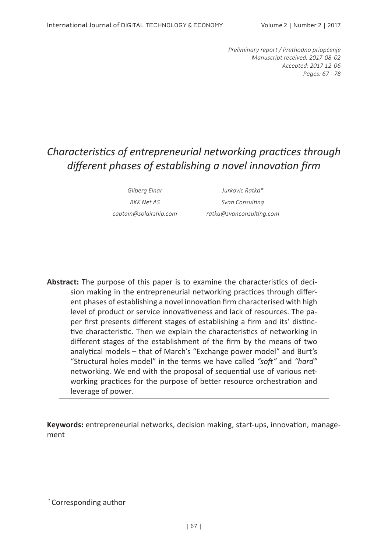*Preliminary report / Prethodno priopćenje Manuscript received: 2017-08-02 Accepted: 2017-12-06 Pages: 67 - 78*

# *Characteristics of entrepreneurial networking practices through different phases of establishing a novel innovation firm*

*Gilberg Einar Jurkovic Ratka\* BKK Net AS Svan Consulting captain@solairship.com ratka@svanconsulting.com*

**Abstract:** The purpose of this paper is to examine the characteristics of decision making in the entrepreneurial networking practices through different phases of establishing a novel innovation firm characterised with high level of product or service innovativeness and lack of resources. The paper first presents different stages of establishing a firm and its' distinctive characteristic. Then we explain the characteristics of networking in different stages of the establishment of the firm by the means of two analytical models – that of March's "Exchange power model" and Burt's "Structural holes model" in the terms we have called *"soft"* and *"hard"* networking. We end with the proposal of sequential use of various networking practices for the purpose of better resource orchestration and leverage of power.

**Keywords:** entrepreneurial networks, decision making, start-ups, innovation, management

\* Corresponding author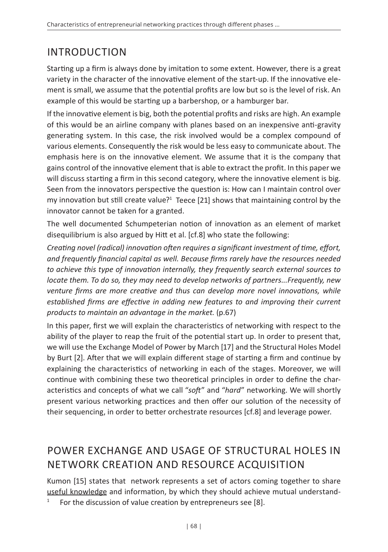# INTRODUCTION

Starting up a firm is always done by imitation to some extent. However, there is a great variety in the character of the innovative element of the start-up. If the innovative element is small, we assume that the potential profits are low but so is the level of risk. An example of this would be starting up a barbershop, or a hamburger bar.

If the innovative element is big, both the potential profits and risks are high. An example of this would be an airline company with planes based on an inexpensive anti-gravity generating system. In this case, the risk involved would be a complex compound of various elements. Consequently the risk would be less easy to communicate about. The emphasis here is on the innovative element. We assume that it is the company that gains control of the innovative element that is able to extract the profit. In this paper we will discuss starting a firm in this second category, where the innovative element is big. Seen from the innovators perspective the question is: How can I maintain control over my innovation but still create value?<sup>1</sup> Teece [21] shows that maintaining control by the innovator cannot be taken for a granted.

The well documented Schumpeterian notion of innovation as an element of market disequilibrium is also argued by Hitt et al. [cf.8] who state the following:

*Creating novel (radical) innovation often requires a significant investment of time, effort, and frequently financial capital as well. Because firms rarely have the resources needed to achieve this type of innovation internally, they frequently search external sources to locate them. To do so, they may need to develop networks of partners...Frequently, new venture firms are more creative and thus can develop more novel innovations, while established firms are effective in adding new features to and improving their current products to maintain an advantage in the market.* (p.67)

In this paper, first we will explain the characteristics of networking with respect to the ability of the player to reap the fruit of the potential start up. In order to present that, we will use the Exchange Model of Power by March [17] and the Structural Holes Model by Burt [2]. After that we will explain different stage of starting a firm and continue by explaining the characteristics of networking in each of the stages. Moreover, we will continue with combining these two theoretical principles in order to define the characteristics and concepts of what we call "*soft*" and "*hard*" networking. We will shortly present various networking practices and then offer our solution of the necessity of their sequencing, in order to better orchestrate resources [cf.8] and leverage power.

## POWER EXCHANGE AND USAGE OF STRUCTURAL HOLES IN NETWORK CREATION AND RESOURCE ACQUISITION

Kumon [15] states that network represents a set of actors coming together to share useful knowledge and information, by which they should achieve mutual understand-

 $1$  For the discussion of value creation by entrepreneurs see [8].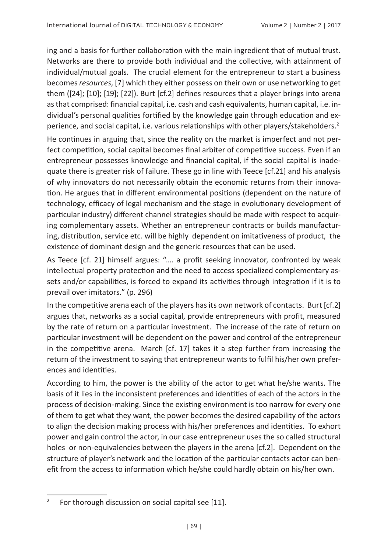ing and a basis for further collaboration with the main ingredient that of mutual trust. Networks are there to provide both individual and the collective, with attainment of individual/mutual goals. The crucial element for the entrepreneur to start a business becomes *resources*, [7] which they either possess on their own or use networking to get them ([24]; [10]; [19]; [22]). Burt [cf.2] defines resources that a player brings into arena as that comprised: financial capital, i.e. cash and cash equivalents, human capital, i.e. individual's personal qualities fortified by the knowledge gain through education and experience, and social capital, i.e. various relationships with other players/stakeholders.<sup>2</sup>

He continues in arguing that, since the reality on the market is imperfect and not perfect competition, social capital becomes final arbiter of competitive success. Even if an entrepreneur possesses knowledge and financial capital, if the social capital is inadequate there is greater risk of failure. These go in line with Teece [cf.21] and his analysis of why innovators do not necessarily obtain the economic returns from their innovation. He argues that in different environmental positions (dependent on the nature of technology, efficacy of legal mechanism and the stage in evolutionary development of particular industry) different channel strategies should be made with respect to acquiring complementary assets. Whether an entrepreneur contracts or builds manufacturing, distribution, service etc. will be highly dependent on imitativeness of product, the existence of dominant design and the generic resources that can be used.

As Teece [cf. 21] himself argues: "…. a profit seeking innovator, confronted by weak intellectual property protection and the need to access specialized complementary assets and/or capabilities, is forced to expand its activities through integration if it is to prevail over imitators." (p. 296)

In the competitive arena each of the players has its own network of contacts. Burt [cf.2] argues that, networks as a social capital, provide entrepreneurs with profit, measured by the rate of return on a particular investment. The increase of the rate of return on particular investment will be dependent on the power and control of the entrepreneur in the competitive arena. March [cf. 17] takes it a step further from increasing the return of the investment to saying that entrepreneur wants to fulfil his/her own preferences and identities.

According to him, the power is the ability of the actor to get what he/she wants. The basis of it lies in the inconsistent preferences and identities of each of the actors in the process of decision-making. Since the existing environment is too narrow for every one of them to get what they want, the power becomes the desired capability of the actors to align the decision making process with his/her preferences and identities. To exhort power and gain control the actor, in our case entrepreneur uses the so called structural holes or non-equivalencies between the players in the arena [cf.2]. Dependent on the structure of player's network and the location of the particular contacts actor can benefit from the access to information which he/she could hardly obtain on his/her own.

<sup>&</sup>lt;sup>2</sup> For thorough discussion on social capital see [11].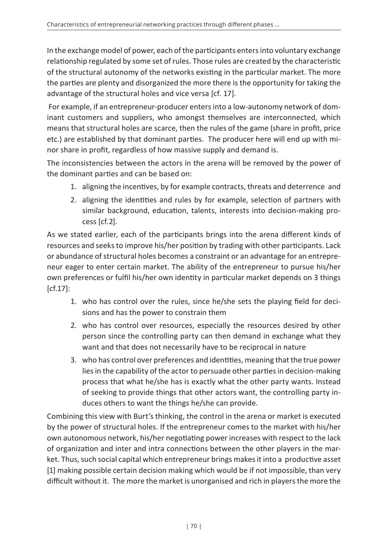In the exchange model of power, each of the participants enters into voluntary exchange relationship regulated by some set of rules. Those rules are created by the characteristic of the structural autonomy of the networks existing in the particular market. The more the parties are plenty and disorganized the more there is the opportunity for taking the advantage of the structural holes and vice versa [cf. 17].

 For example, if an entrepreneur-producer enters into a low-autonomy network of dominant customers and suppliers, who amongst themselves are interconnected, which means that structural holes are scarce, then the rules of the game (share in profit, price etc.) are established by that dominant parties. The producer here will end up with minor share in profit, regardless of how massive supply and demand is.

The inconsistencies between the actors in the arena will be removed by the power of the dominant parties and can be based on:

- 1. aligning the incentives, by for example contracts, threats and deterrence and
- 2. aligning the identities and rules by for example, selection of partners with similar background, education, talents, interests into decision-making process [cf.2].

As we stated earlier, each of the participants brings into the arena different kinds of resources and seeks to improve his/her position by trading with other participants. Lack or abundance of structural holes becomes a constraint or an advantage for an entrepreneur eager to enter certain market. The ability of the entrepreneur to pursue his/her own preferences or fulfil his/her own identity in particular market depends on 3 things [cf.17]:

- 1. who has control over the rules, since he/she sets the playing field for decisions and has the power to constrain them
- 2. who has control over resources, especially the resources desired by other person since the controlling party can then demand in exchange what they want and that does not necessarily have to be reciprocal in nature
- 3. who has control over preferences and identities, meaning that the true power lies in the capability of the actor to persuade other parties in decision-making process that what he/she has is exactly what the other party wants. Instead of seeking to provide things that other actors want, the controlling party induces others to want the things he/she can provide.

Combining this view with Burt's thinking, the control in the arena or market is executed by the power of structural holes. If the entrepreneur comes to the market with his/her own autonomous network, his/her negotiating power increases with respect to the lack of organization and inter and intra connections between the other players in the market. Thus, such social capital which entrepreneur brings makes it into a productive asset [1] making possible certain decision making which would be if not impossible, than very difficult without it. The more the market is unorganised and rich in players the more the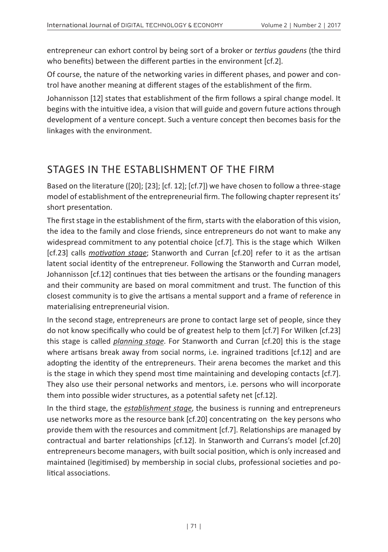entrepreneur can exhort control by being sort of a broker or *tertius gaudens* (the third who benefits) between the different parties in the environment [cf.2].

Of course, the nature of the networking varies in different phases, and power and control have another meaning at different stages of the establishment of the firm.

Johannisson [12] states that establishment of the firm follows a spiral change model. It begins with the intuitive idea, a vision that will guide and govern future actions through development of a venture concept. Such a venture concept then becomes basis for the linkages with the environment.

## STAGES IN THE ESTABLISHMENT OF THE FIRM

Based on the literature ([20]; [23]; [cf. 12]; [cf.7]) we have chosen to follow a three-stage model of establishment of the entrepreneurial firm. The following chapter represent its' short presentation.

The first stage in the establishment of the firm, starts with the elaboration of this vision, the idea to the family and close friends, since entrepreneurs do not want to make any widespread commitment to any potential choice [cf.7]. This is the stage which Wilken [cf.23] calls *motivation stage*; Stanworth and Curran [cf.20] refer to it as the artisan latent social identity of the entrepreneur. Following the Stanworth and Curran model, Johannisson [cf.12] continues that ties between the artisans or the founding managers and their community are based on moral commitment and trust. The function of this closest community is to give the artisans a mental support and a frame of reference in materialising entrepreneurial vision.

In the second stage, entrepreneurs are prone to contact large set of people, since they do not know specifically who could be of greatest help to them [cf.7] For Wilken [cf.23] this stage is called *planning stage*. For Stanworth and Curran [cf.20] this is the stage where artisans break away from social norms, i.e. ingrained traditions [cf.12] and are adopting the identity of the entrepreneurs. Their arena becomes the market and this is the stage in which they spend most time maintaining and developing contacts [cf.7]. They also use their personal networks and mentors, i.e. persons who will incorporate them into possible wider structures, as a potential safety net [cf.12].

In the third stage, the *establishment stage*, the business is running and entrepreneurs use networks more as the resource bank [cf.20] concentrating on the key persons who provide them with the resources and commitment [cf.7]. Relationships are managed by contractual and barter relationships [cf.12]. In Stanworth and Currans's model [cf.20] entrepreneurs become managers, with built social position, which is only increased and maintained (legitimised) by membership in social clubs, professional societies and political associations.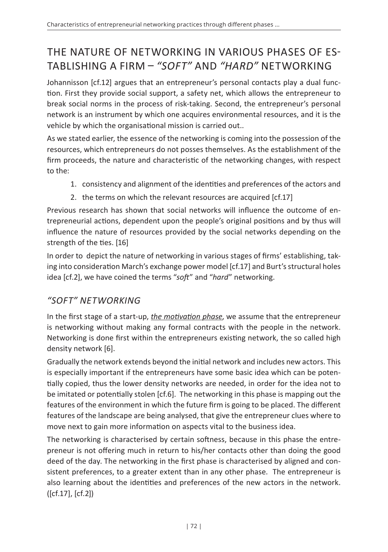# THE NATURE OF NETWORKING IN VARIOUS PHASES OF ES-TABLISHING A FIRM – *"SOFT"* AND *"HARD"* NETWORKING

Johannisson [cf.12] argues that an entrepreneur's personal contacts play a dual function. First they provide social support, a safety net, which allows the entrepreneur to break social norms in the process of risk-taking. Second, the entrepreneur's personal network is an instrument by which one acquires environmental resources, and it is the vehicle by which the organisational mission is carried out..

As we stated earlier, the essence of the networking is coming into the possession of the resources, which entrepreneurs do not posses themselves. As the establishment of the firm proceeds, the nature and characteristic of the networking changes, with respect to the:

- 1. consistency and alignment of the identities and preferences of the actors and
- 2. the terms on which the relevant resources are acquired [cf.17]

Previous research has shown that social networks will influence the outcome of entrepreneurial actions, dependent upon the people's original positions and by thus will influence the nature of resources provided by the social networks depending on the strength of the ties. [16]

In order to depict the nature of networking in various stages of firms' establishing, taking into consideration March's exchange power model [cf.17] and Burt's structural holes idea [cf.2], we have coined the terms "*soft*" and "*hard*" networking.

#### *"SOFT" NETWORKING*

In the first stage of a start-up, *the motivation phase*, we assume that the entrepreneur is networking without making any formal contracts with the people in the network. Networking is done first within the entrepreneurs existing network, the so called high density network [6].

Gradually the network extends beyond the initial network and includes new actors. This is especially important if the entrepreneurs have some basic idea which can be potentially copied, thus the lower density networks are needed, in order for the idea not to be imitated or potentially stolen [cf.6]. The networking in this phase is mapping out the features of the environment in which the future firm is going to be placed. The different features of the landscape are being analysed, that give the entrepreneur clues where to move next to gain more information on aspects vital to the business idea.

The networking is characterised by certain softness, because in this phase the entrepreneur is not offering much in return to his/her contacts other than doing the good deed of the day. The networking in the first phase is characterised by aligned and consistent preferences, to a greater extent than in any other phase. The entrepreneur is also learning about the identities and preferences of the new actors in the network. ([cf.17], [cf.2])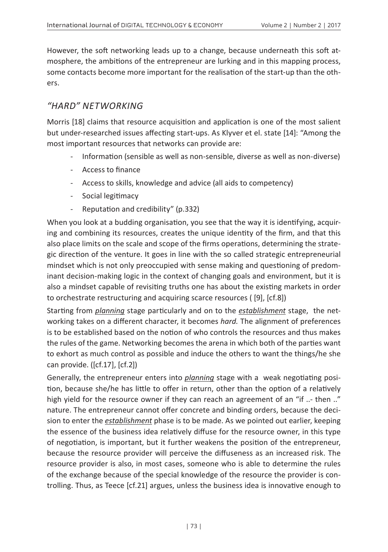However, the soft networking leads up to a change, because underneath this soft atmosphere, the ambitions of the entrepreneur are lurking and in this mapping process, some contacts become more important for the realisation of the start-up than the others.

#### *"HARD" NETWORKING*

Morris [18] claims that resource acquisition and application is one of the most salient but under-researched issues affecting start-ups. As Klyver et el. state [14]: "Among the most important resources that networks can provide are:

- Information (sensible as well as non-sensible, diverse as well as non-diverse)
- Access to finance
- Access to skills, knowledge and advice (all aids to competency)
- Social legitimacy
- Reputation and credibility" (p.332)

When you look at a budding organisation, you see that the way it is identifying, acquiring and combining its resources, creates the unique identity of the firm, and that this also place limits on the scale and scope of the firms operations, determining the strategic direction of the venture. It goes in line with the so called strategic entrepreneurial mindset which is not only preoccupied with sense making and questioning of predominant decision-making logic in the context of changing goals and environment, but it is also a mindset capable of revisiting truths one has about the existing markets in order to orchestrate restructuring and acquiring scarce resources ( [9], [cf.8])

Starting from *planning* stage particularly and on to the *establishment* stage, the networking takes on a different character, it becomes *hard.* The alignment of preferences is to be established based on the notion of who controls the resources and thus makes the rules of the game. Networking becomes the arena in which both of the parties want to exhort as much control as possible and induce the others to want the things/he she can provide. ([cf.17], [cf.2])

Generally, the entrepreneur enters into *planning* stage with a weak negotiating position, because she/he has little to offer in return, other than the option of a relatively high yield for the resource owner if they can reach an agreement of an "if ..- then .." nature. The entrepreneur cannot offer concrete and binding orders, because the decision to enter the *establishment* phase is to be made. As we pointed out earlier, keeping the essence of the business idea relatively diffuse for the resource owner, in this type of negotiation, is important, but it further weakens the position of the entrepreneur, because the resource provider will perceive the diffuseness as an increased risk. The resource provider is also, in most cases, someone who is able to determine the rules of the exchange because of the special knowledge of the resource the provider is controlling. Thus, as Teece [cf.21] argues, unless the business idea is innovative enough to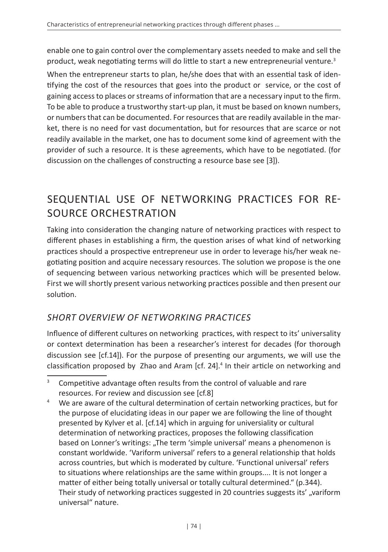enable one to gain control over the complementary assets needed to make and sell the product, weak negotiating terms will do little to start a new entrepreneurial venture.<sup>3</sup>

When the entrepreneur starts to plan, he/she does that with an essential task of identifying the cost of the resources that goes into the product or service, or the cost of gaining access to places or streams of information that are a necessary input to the firm. To be able to produce a trustworthy start-up plan, it must be based on known numbers, or numbers that can be documented. For resources that are readily available in the market, there is no need for vast documentation, but for resources that are scarce or not readily available in the market, one has to document some kind of agreement with the provider of such a resource. It is these agreements, which have to be negotiated. (for discussion on the challenges of constructing a resource base see [3]).

## SEQUENTIAL USE OF NETWORKING PRACTICES FOR RE-SOURCE ORCHESTRATION

Taking into consideration the changing nature of networking practices with respect to different phases in establishing a firm, the question arises of what kind of networking practices should a prospective entrepreneur use in order to leverage his/her weak negotiating position and acquire necessary resources. The solution we propose is the one of sequencing between various networking practices which will be presented below. First we will shortly present various networking practices possible and then present our solution.

### *SHORT OVERVIEW OF NETWORKING PRACTICES*

Influence of different cultures on networking practices, with respect to its' universality or context determination has been a researcher's interest for decades (for thorough discussion see [cf.14]). For the purpose of presenting our arguments, we will use the classification proposed by Zhao and Aram [cf. 24].<sup>4</sup> In their article on networking and

<sup>&</sup>lt;sup>3</sup> Competitive advantage often results from the control of valuable and rare resources. For review and discussion see [cf.8]

<sup>&</sup>lt;sup>4</sup> We are aware of the cultural determination of certain networking practices, but for the purpose of elucidating ideas in our paper we are following the line of thought presented by Kylver et al. [cf.14] which in arguing for universiality or cultural determination of networking practices, proposes the following classification based on Lonner's writings: "The term 'simple universal' means a phenomenon is constant worldwide. 'Variform universal' refers to a general relationship that holds across countries, but which is moderated by culture. 'Functional universal' refers to situations where relationships are the same within groups.... It is not longer a matter of either being totally universal or totally cultural determined." (p.344). Their study of networking practices suggested in 20 countries suggests its', "variform universal" nature.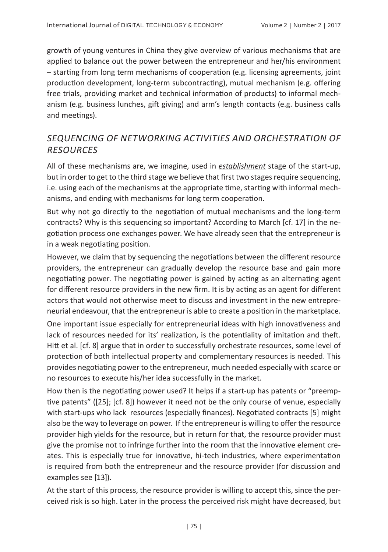growth of young ventures in China they give overview of various mechanisms that are applied to balance out the power between the entrepreneur and her/his environment – starting from long term mechanisms of cooperation (e.g. licensing agreements, joint production development, long-term subcontracting), mutual mechanism (e.g. offering free trials, providing market and technical information of products) to informal mechanism (e.g. business lunches, gift giving) and arm's length contacts (e.g. business calls and meetings).

#### *SEQUENCING OF NETWORKING ACTIVITIES AND ORCHESTRATION OF RESOURCES*

All of these mechanisms are, we imagine, used in *establishment* stage of the start-up, but in order to get to the third stage we believe that first two stages require sequencing, i.e. using each of the mechanisms at the appropriate time, starting with informal mechanisms, and ending with mechanisms for long term cooperation.

But why not go directly to the negotiation of mutual mechanisms and the long-term contracts? Why is this sequencing so important? According to March [cf. 17] in the negotiation process one exchanges power. We have already seen that the entrepreneur is in a weak negotiating position.

However, we claim that by sequencing the negotiations between the different resource providers, the entrepreneur can gradually develop the resource base and gain more negotiating power. The negotiating power is gained by acting as an alternating agent for different resource providers in the new firm. It is by acting as an agent for different actors that would not otherwise meet to discuss and investment in the new entrepreneurial endeavour, that the entrepreneur is able to create a position in the marketplace.

One important issue especially for entrepreneurial ideas with high innovativeness and lack of resources needed for its' realization, is the potentiality of imitation and theft. Hitt et al. [cf. 8] argue that in order to successfully orchestrate resources, some level of protection of both intellectual property and complementary resources is needed. This provides negotiating power to the entrepreneur, much needed especially with scarce or no resources to execute his/her idea successfully in the market.

How then is the negotiating power used? It helps if a start-up has patents or "preemptive patents" ([25]; [cf. 8]) however it need not be the only course of venue, especially with start-ups who lack resources (especially finances). Negotiated contracts [5] might also be the way to leverage on power. If the entrepreneur is willing to offer the resource provider high yields for the resource, but in return for that, the resource provider must give the promise not to infringe further into the room that the innovative element creates. This is especially true for innovative, hi-tech industries, where experimentation is required from both the entrepreneur and the resource provider (for discussion and examples see [13]).

At the start of this process, the resource provider is willing to accept this, since the perceived risk is so high. Later in the process the perceived risk might have decreased, but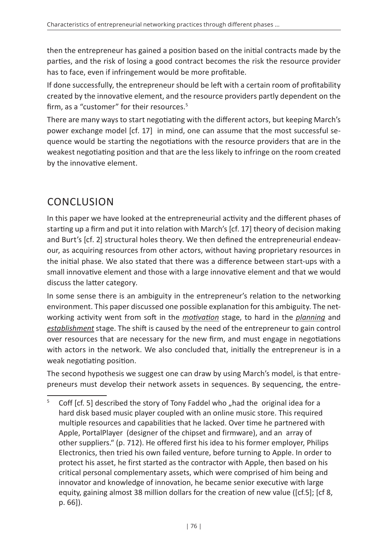then the entrepreneur has gained a position based on the initial contracts made by the parties, and the risk of losing a good contract becomes the risk the resource provider has to face, even if infringement would be more profitable.

If done successfully, the entrepreneur should be left with a certain room of profitability created by the innovative element, and the resource providers partly dependent on the firm, as a "customer" for their resources.<sup>5</sup>

There are many ways to start negotiating with the different actors, but keeping March's power exchange model [cf. 17] in mind, one can assume that the most successful sequence would be starting the negotiations with the resource providers that are in the weakest negotiating position and that are the less likely to infringe on the room created by the innovative element.

## CONCLUSION

In this paper we have looked at the entrepreneurial activity and the different phases of starting up a firm and put it into relation with March's [cf. 17] theory of decision making and Burt's [cf. 2] structural holes theory. We then defined the entrepreneurial endeavour, as acquiring resources from other actors, without having proprietary resources in the initial phase. We also stated that there was a difference between start-ups with a small innovative element and those with a large innovative element and that we would discuss the latter category.

In some sense there is an ambiguity in the entrepreneur's relation to the networking environment. This paper discussed one possible explanation for this ambiguity. The networking activity went from soft in the *motivation* stage, to hard in the *planning* and *establishment* stage. The shift is caused by the need of the entrepreneur to gain control over resources that are necessary for the new firm, and must engage in negotiations with actors in the network. We also concluded that, initially the entrepreneur is in a weak negotiating position.

The second hypothesis we suggest one can draw by using March's model, is that entrepreneurs must develop their network assets in sequences. By sequencing, the entre-

 $5$  Coff [cf. 5] described the story of Tony Faddel who "had the original idea for a hard disk based music player coupled with an online music store. This required multiple resources and capabilities that he lacked. Over time he partnered with Apple, PortalPlayer (designer of the chipset and firmware), and an array of other suppliers." (p. 712). He offered first his idea to his former employer, Philips Electronics, then tried his own failed venture, before turning to Apple. In order to protect his asset, he first started as the contractor with Apple, then based on his critical personal complementary assets, which were comprised of him being and innovator and knowledge of innovation, he became senior executive with large equity, gaining almost 38 million dollars for the creation of new value ([cf.5]; [cf 8, p. 66]).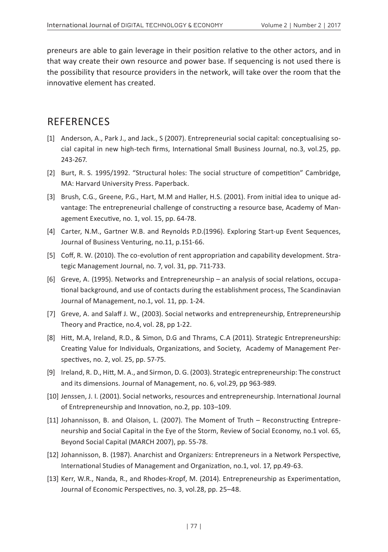preneurs are able to gain leverage in their position relative to the other actors, and in that way create their own resource and power base. If sequencing is not used there is the possibility that resource providers in the network, will take over the room that the innovative element has created.

### **REFERENCES**

- [1] Anderson, A., Park J., and Jack., S (2007). Entrepreneurial social capital: conceptualising social capital in new high-tech firms, International Small Business Journal, no.3, vol.25, pp. 243-267.
- [2] Burt, R. S. 1995/1992. "Structural holes: The social structure of competition" Cambridge. MA: Harvard University Press. Paperback.
- [3] Brush, C.G., Greene, P.G., Hart, M.M and Haller, H.S. (2001). From initial idea to unique advantage: The entrepreneurial challenge of constructing a resource base, Academy of Management Executive, no. 1, vol. 15, pp. 64-78.
- [4] Carter, N.M., Gartner W.B. and Reynolds P.D.(1996). Exploring Start-up Event Sequences, Journal of Business Venturing, no.11, p.151-66.
- [5] Coff, R. W. (2010). The co-evolution of rent appropriation and capability development. Strategic Management Journal, no. 7, vol. 31, pp. 711-733.
- [6] Greve, A. (1995). Networks and Entrepreneurship an analysis of social relations, occupational background, and use of contacts during the establishment process, The Scandinavian Journal of Management, no.1, vol. 11, pp. 1-24.
- [7] Greve, A. and Salaff J. W., (2003). Social networks and entrepreneurship, Entrepreneurship Theory and Practice, no.4, vol. 28, pp 1-22.
- [8] Hitt, M.A, Ireland, R.D., & Simon, D.G and Thrams, C.A (2011). Strategic Entrepreneurship: Creating Value for Individuals, Organizations, and Society, Academy of Management Perspectives, no. 2, vol. 25, pp. 57-75.
- [9] Ireland, R. D., Hitt, M. A., and Sirmon, D. G. (2003). Strategic entrepreneurship: The construct and its dimensions. Journal of Management, no. 6, vol.29, pp 963-989.
- [10] Jenssen, J. I. (2001). Social networks, resources and entrepreneurship. International Journal of Entrepreneurship and Innovation, no.2, pp. 103–109.
- [11] Johannisson, B. and Olaison, L. (2007). The Moment of Truth Reconstructing Entrepreneurship and Social Capital in the Eye of the Storm, Review of Social Economy, no.1 vol. 65, Beyond Social Capital (MARCH 2007), pp. 55-78.
- [12] Johannisson, B. (1987). Anarchist and Organizers: Entrepreneurs in a Network Perspective, International Studies of Management and Organization, no.1, vol. 17, pp.49-63.
- [13] Kerr, W.R., Nanda, R., and Rhodes-Kropf, M. (2014). Entrepreneurship as Experimentation, Journal of Economic Perspectives, no. 3, vol.28, pp. 25–48.